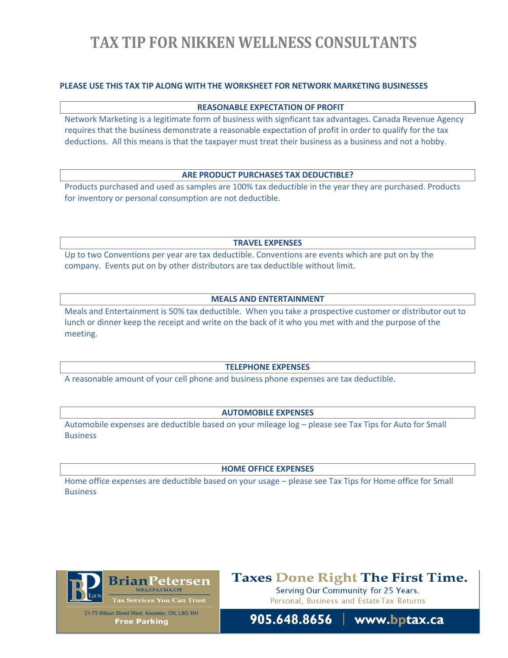# **TAX TIP FOR NIKKEN WELLNESS CONSULTANTS**

## **PLEASE USE THIS TAX TIP ALONG WITH THE WORKSHEET FOR NETWORK MARKETING BUSINESSES**

### **REASONABLE EXPECTATION OF PROFIT**

Network Marketing is a legitimate form of business with signficant tax advantages. Canada Revenue Agency requires that the business demonstrate a reasonable expectation of profit in order to qualify for the tax deductions. All this means is that the taxpayer must treat their business as a business and not a hobby.

#### **ARE PRODUCT PURCHASES TAX DEDUCTIBLE?**

Products purchased and used as samples are 100% tax deductible in the year they are purchased. Products for inventory or personal consumption are not deductible.

**TRAVEL EXPENSES**

Up to two Conventions per year are tax deductible. Conventions are events which are put on by the company. Events put on by other distributors are tax deductible without limit.

### **MEALS AND ENTERTAINMENT**

Meals and Entertainment is 50% tax deductible. When you take a prospective customer or distributor out to lunch or dinner keep the receipt and write on the back of it who you met with and the purpose of the meeting.

#### **TELEPHONE EXPENSES**

A reasonable amount of your cell phone and business phone expenses are tax deductible.

### **AUTOMOBILE EXPENSES**

Automobile expenses are deductible based on your mileage log – please see Tax Tips for Auto for Small **Business** 

#### **HOME OFFICE EXPENSES**

Home office expenses are deductible based on your usage – please see Tax Tips for Home office for Small Business



21-73 Wilson Street West, Ancaster, ON, L9G 1N1 **Free Parking** 

# **Taxes Done Right The First Time.**

Serving Our Community for 25 Years. Personal, Business and Estate Tax Returns